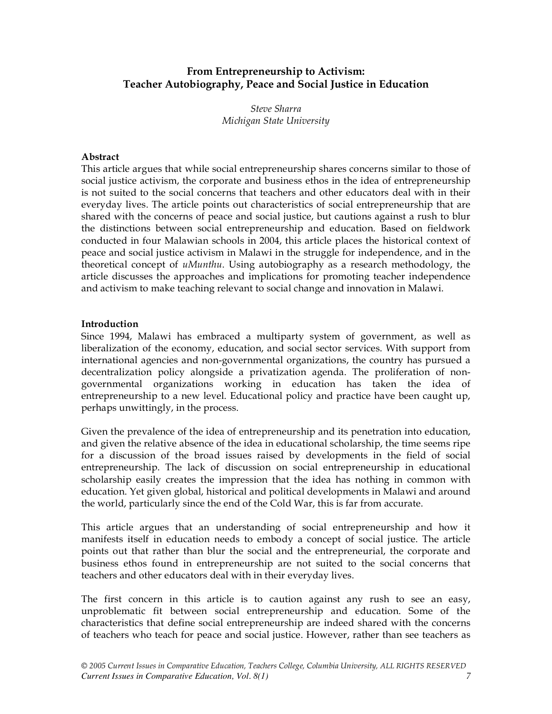# **From Entrepreneurship to Activism: Teacher Autobiography, Peace and Social Justice in Education**

*Steve Sharra Michigan State University*

### **Abstract**

This article argues that while social entrepreneurship shares concerns similar to those of social justice activism, the corporate and business ethos in the idea of entrepreneurship is not suited to the social concerns that teachers and other educators deal with in their everyday lives. The article points out characteristics of social entrepreneurship that are shared with the concerns of peace and social justice, but cautions against a rush to blur the distinctions between social entrepreneurship and education. Based on fieldwork conducted in four Malawian schools in 2004, this article places the historical context of peace and social justice activism in Malawi in the struggle for independence, and in the theoretical concept of *uMunthu*. Using autobiography as a research methodology, the article discusses the approaches and implications for promoting teacher independence and activism to make teaching relevant to social change and innovation in Malawi.

#### **Introduction**

Since 1994, Malawi has embraced a multiparty system of government, as well as liberalization of the economy, education, and social sector services. With support from international agencies and non-governmental organizations, the country has pursued a decentralization policy alongside a privatization agenda. The proliferation of nongovernmental organizations working in education has taken the idea of entrepreneurship to a new level. Educational policy and practice have been caught up, perhaps unwittingly, in the process.

Given the prevalence of the idea of entrepreneurship and its penetration into education, and given the relative absence of the idea in educational scholarship, the time seems ripe for a discussion of the broad issues raised by developments in the field of social entrepreneurship. The lack of discussion on social entrepreneurship in educational scholarship easily creates the impression that the idea has nothing in common with education. Yet given global, historical and political developments in Malawi and around the world, particularly since the end of the Cold War, this is far from accurate.

This article argues that an understanding of social entrepreneurship and how it manifests itself in education needs to embody a concept of social justice. The article points out that rather than blur the social and the entrepreneurial, the corporate and business ethos found in entrepreneurship are not suited to the social concerns that teachers and other educators deal with in their everyday lives.

The first concern in this article is to caution against any rush to see an easy, unproblematic fit between social entrepreneurship and education. Some of the characteristics that define social entrepreneurship are indeed shared with the concerns of teachers who teach for peace and social justice. However, rather than see teachers as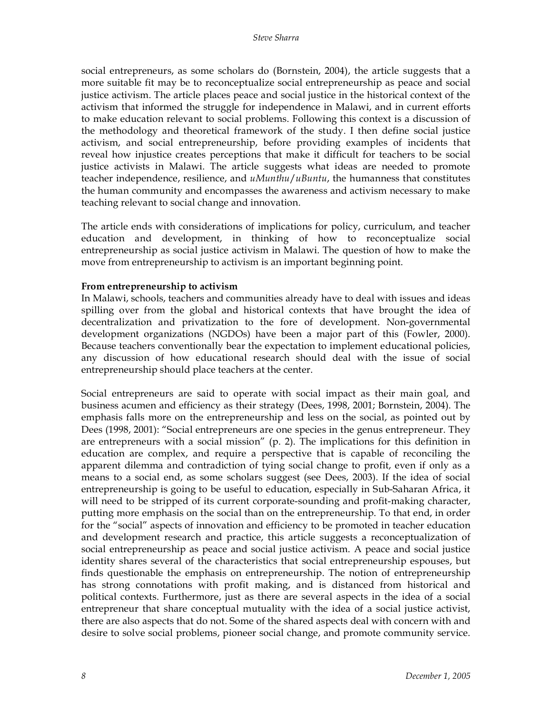social entrepreneurs, as some scholars do (Bornstein, 2004), the article suggests that a more suitable fit may be to reconceptualize social entrepreneurship as peace and social justice activism. The article places peace and social justice in the historical context of the activism that informed the struggle for independence in Malawi, and in current efforts to make education relevant to social problems. Following this context is a discussion of the methodology and theoretical framework of the study. I then define social justice activism, and social entrepreneurship, before providing examples of incidents that reveal how injustice creates perceptions that make it difficult for teachers to be social justice activists in Malawi. The article suggests what ideas are needed to promote teacher independence, resilience, and *uMunthu*/*uBuntu*, the humanness that constitutes the human community and encompasses the awareness and activism necessary to make teaching relevant to social change and innovation.

The article ends with considerations of implications for policy, curriculum, and teacher education and development, in thinking of how to reconceptualize social entrepreneurship as social justice activism in Malawi. The question of how to make the move from entrepreneurship to activism is an important beginning point.

#### **From entrepreneurship to activism**

In Malawi, schools, teachers and communities already have to deal with issues and ideas spilling over from the global and historical contexts that have brought the idea of decentralization and privatization to the fore of development. Non-governmental development organizations (NGDOs) have been a major part of this (Fowler, 2000). Because teachers conventionally bear the expectation to implement educational policies, any discussion of how educational research should deal with the issue of social entrepreneurship should place teachers at the center.

Social entrepreneurs are said to operate with social impact as their main goal, and business acumen and efficiency as their strategy (Dees, 1998, 2001; Bornstein, 2004). The emphasis falls more on the entrepreneurship and less on the social, as pointed out by Dees (1998, 2001): "Social entrepreneurs are one species in the genus entrepreneur. They are entrepreneurs with a social mission" (p. 2). The implications for this definition in education are complex, and require a perspective that is capable of reconciling the apparent dilemma and contradiction of tying social change to profit, even if only as a means to a social end, as some scholars suggest (see Dees, 2003). If the idea of social entrepreneurship is going to be useful to education, especially in Sub-Saharan Africa, it will need to be stripped of its current corporate-sounding and profit-making character, putting more emphasis on the social than on the entrepreneurship. To that end, in order for the "social" aspects of innovation and efficiency to be promoted in teacher education and development research and practice, this article suggests a reconceptualization of social entrepreneurship as peace and social justice activism. A peace and social justice identity shares several of the characteristics that social entrepreneurship espouses, but finds questionable the emphasis on entrepreneurship. The notion of entrepreneurship has strong connotations with profit making, and is distanced from historical and political contexts. Furthermore, just as there are several aspects in the idea of a social entrepreneur that share conceptual mutuality with the idea of a social justice activist, there are also aspects that do not. Some of the shared aspects deal with concern with and desire to solve social problems, pioneer social change, and promote community service.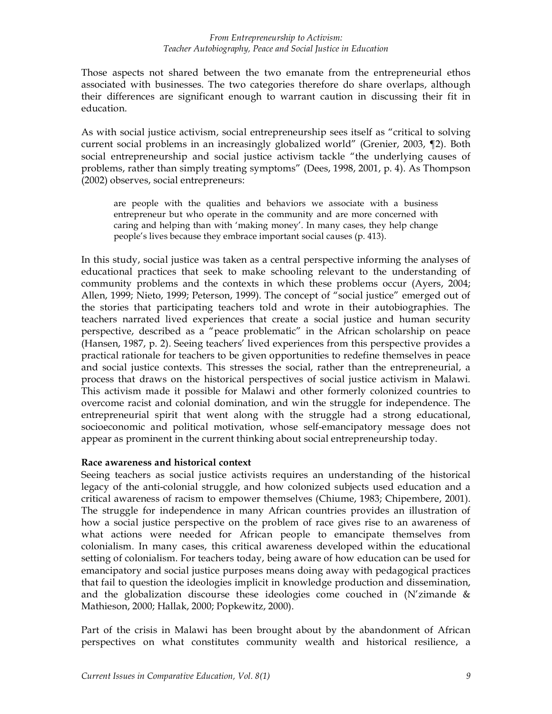Those aspects not shared between the two emanate from the entrepreneurial ethos associated with businesses. The two categories therefore do share overlaps, although their differences are significant enough to warrant caution in discussing their fit in education.

As with social justice activism, social entrepreneurship sees itself as "critical to solving current social problems in an increasingly globalized world" (Grenier, 2003, ¶2). Both social entrepreneurship and social justice activism tackle "the underlying causes of problems, rather than simply treating symptoms" (Dees, 1998, 2001, p. 4). As Thompson (2002) observes, social entrepreneurs:

are people with the qualities and behaviors we associate with a business entrepreneur but who operate in the community and are more concerned with caring and helping than with 'making money'. In many cases, they help change people's lives because they embrace important social causes (p. 413).

In this study, social justice was taken as a central perspective informing the analyses of educational practices that seek to make schooling relevant to the understanding of community problems and the contexts in which these problems occur (Ayers, 2004; Allen, 1999; Nieto, 1999; Peterson, 1999). The concept of "social justice" emerged out of the stories that participating teachers told and wrote in their autobiographies. The teachers narrated lived experiences that create a social justice and human security perspective, described as a "peace problematic" in the African scholarship on peace (Hansen, 1987, p. 2). Seeing teachers' lived experiences from this perspective provides a practical rationale for teachers to be given opportunities to redefine themselves in peace and social justice contexts. This stresses the social, rather than the entrepreneurial, a process that draws on the historical perspectives of social justice activism in Malawi. This activism made it possible for Malawi and other formerly colonized countries to overcome racist and colonial domination, and win the struggle for independence. The entrepreneurial spirit that went along with the struggle had a strong educational, socioeconomic and political motivation, whose self-emancipatory message does not appear as prominent in the current thinking about social entrepreneurship today.

### **Race awareness and historical context**

Seeing teachers as social justice activists requires an understanding of the historical legacy of the anti-colonial struggle, and how colonized subjects used education and a critical awareness of racism to empower themselves (Chiume, 1983; Chipembere, 2001). The struggle for independence in many African countries provides an illustration of how a social justice perspective on the problem of race gives rise to an awareness of what actions were needed for African people to emancipate themselves from colonialism. In many cases, this critical awareness developed within the educational setting of colonialism. For teachers today, being aware of how education can be used for emancipatory and social justice purposes means doing away with pedagogical practices that fail to question the ideologies implicit in knowledge production and dissemination, and the globalization discourse these ideologies come couched in (N'zimande & Mathieson, 2000; Hallak, 2000; Popkewitz, 2000).

Part of the crisis in Malawi has been brought about by the abandonment of African perspectives on what constitutes community wealth and historical resilience, a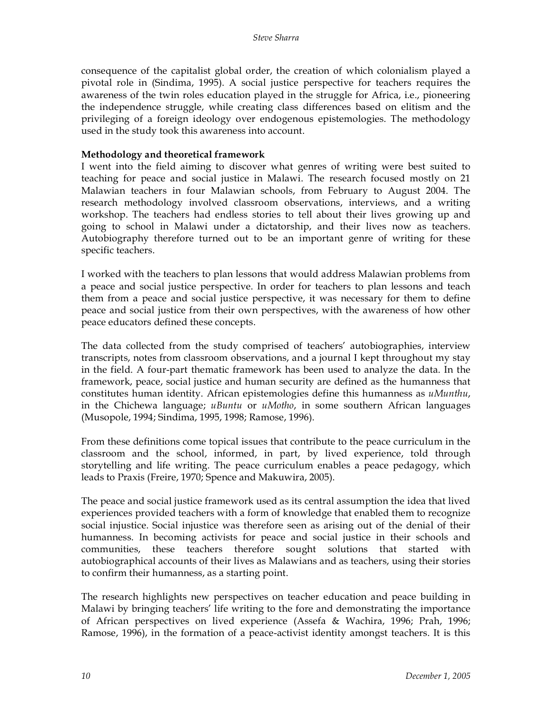consequence of the capitalist global order, the creation of which colonialism played a pivotal role in (Sindima, 1995). A social justice perspective for teachers requires the awareness of the twin roles education played in the struggle for Africa, i.e., pioneering the independence struggle, while creating class differences based on elitism and the privileging of a foreign ideology over endogenous epistemologies. The methodology used in the study took this awareness into account.

### **Methodology and theoretical framework**

I went into the field aiming to discover what genres of writing were best suited to teaching for peace and social justice in Malawi. The research focused mostly on 21 Malawian teachers in four Malawian schools, from February to August 2004. The research methodology involved classroom observations, interviews, and a writing workshop. The teachers had endless stories to tell about their lives growing up and going to school in Malawi under a dictatorship, and their lives now as teachers. Autobiography therefore turned out to be an important genre of writing for these specific teachers.

I worked with the teachers to plan lessons that would address Malawian problems from a peace and social justice perspective. In order for teachers to plan lessons and teach them from a peace and social justice perspective, it was necessary for them to define peace and social justice from their own perspectives, with the awareness of how other peace educators defined these concepts.

The data collected from the study comprised of teachers' autobiographies, interview transcripts, notes from classroom observations, and a journal I kept throughout my stay in the field. A four-part thematic framework has been used to analyze the data. In the framework, peace, social justice and human security are defined as the humanness that constitutes human identity. African epistemologies define this humanness as *uMunthu*, in the Chichewa language; *uBuntu* or *uMotho*, in some southern African languages (Musopole, 1994; Sindima, 1995, 1998; Ramose, 1996).

From these definitions come topical issues that contribute to the peace curriculum in the classroom and the school, informed, in part, by lived experience, told through storytelling and life writing. The peace curriculum enables a peace pedagogy, which leads to Praxis (Freire, 1970; Spence and Makuwira, 2005).

The peace and social justice framework used as its central assumption the idea that lived experiences provided teachers with a form of knowledge that enabled them to recognize social injustice. Social injustice was therefore seen as arising out of the denial of their humanness. In becoming activists for peace and social justice in their schools and communities, these teachers therefore sought solutions that started with autobiographical accounts of their lives as Malawians and as teachers, using their stories to confirm their humanness, as a starting point.

The research highlights new perspectives on teacher education and peace building in Malawi by bringing teachers' life writing to the fore and demonstrating the importance of African perspectives on lived experience (Assefa & Wachira, 1996; Prah, 1996; Ramose, 1996), in the formation of a peace-activist identity amongst teachers. It is this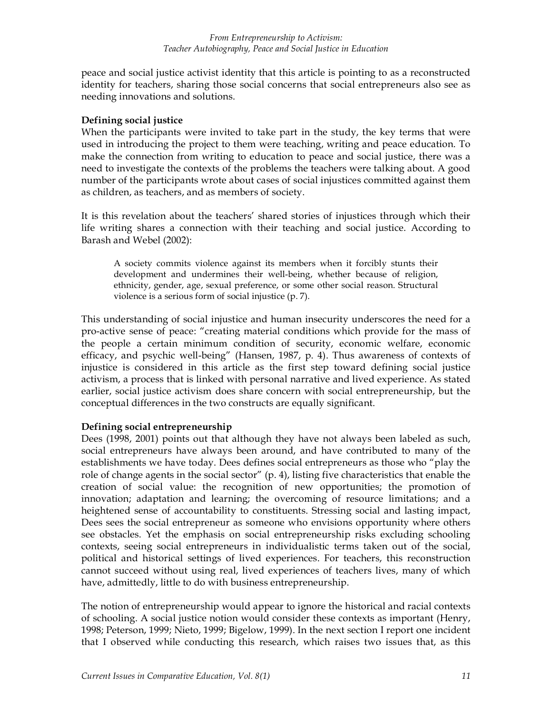peace and social justice activist identity that this article is pointing to as a reconstructed identity for teachers, sharing those social concerns that social entrepreneurs also see as needing innovations and solutions.

### **Defining social justice**

When the participants were invited to take part in the study, the key terms that were used in introducing the project to them were teaching, writing and peace education. To make the connection from writing to education to peace and social justice, there was a need to investigate the contexts of the problems the teachers were talking about. A good number of the participants wrote about cases of social injustices committed against them as children, as teachers, and as members of society.

It is this revelation about the teachers' shared stories of injustices through which their life writing shares a connection with their teaching and social justice. According to Barash and Webel (2002):

A society commits violence against its members when it forcibly stunts their development and undermines their well-being, whether because of religion, ethnicity, gender, age, sexual preference, or some other social reason. Structural violence is a serious form of social injustice (p. 7).

This understanding of social injustice and human insecurity underscores the need for a pro-active sense of peace: "creating material conditions which provide for the mass of the people a certain minimum condition of security, economic welfare, economic efficacy, and psychic well-being" (Hansen, 1987, p. 4). Thus awareness of contexts of injustice is considered in this article as the first step toward defining social justice activism, a process that is linked with personal narrative and lived experience. As stated earlier, social justice activism does share concern with social entrepreneurship, but the conceptual differences in the two constructs are equally significant.

# **Defining social entrepreneurship**

Dees (1998, 2001) points out that although they have not always been labeled as such, social entrepreneurs have always been around, and have contributed to many of the establishments we have today. Dees defines social entrepreneurs as those who "play the role of change agents in the social sector" (p. 4), listing five characteristics that enable the creation of social value: the recognition of new opportunities; the promotion of innovation; adaptation and learning; the overcoming of resource limitations; and a heightened sense of accountability to constituents. Stressing social and lasting impact, Dees sees the social entrepreneur as someone who envisions opportunity where others see obstacles. Yet the emphasis on social entrepreneurship risks excluding schooling contexts, seeing social entrepreneurs in individualistic terms taken out of the social, political and historical settings of lived experiences. For teachers, this reconstruction cannot succeed without using real, lived experiences of teachers lives, many of which have, admittedly, little to do with business entrepreneurship.

The notion of entrepreneurship would appear to ignore the historical and racial contexts of schooling. A social justice notion would consider these contexts as important (Henry, 1998; Peterson, 1999; Nieto, 1999; Bigelow, 1999). In the next section I report one incident that I observed while conducting this research, which raises two issues that, as this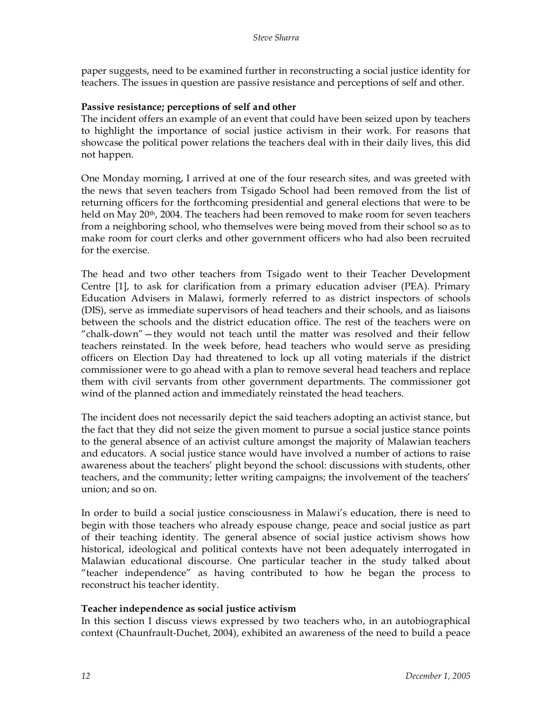paper suggests, need to be examined further in reconstructing a social justice identity for teachers. The issues in question are passive resistance and perceptions of self and other.

## **Passive resistance; perceptions of self and other**

The incident offers an example of an event that could have been seized upon by teachers to highlight the importance of social justice activism in their work. For reasons that showcase the political power relations the teachers deal with in their daily lives, this did not happen.

One Monday morning, I arrived at one of the four research sites, and was greeted with the news that seven teachers from Tsigado School had been removed from the list of returning officers for the forthcoming presidential and general elections that were to be held on May  $20<sup>th</sup>$ , 2004. The teachers had been removed to make room for seven teachers from a neighboring school, who themselves were being moved from their school so as to make room for court clerks and other government officers who had also been recruited for the exercise.

The head and two other teachers from Tsigado went to their Teacher Development Centre [1], to ask for clarification from a primary education adviser (PEA). Primary Education Advisers in Malawi, formerly referred to as district inspectors of schools (DIS), serve as immediate supervisors of head teachers and their schools, and as liaisons between the schools and the district education office. The rest of the teachers were on "chalk-down"—they would not teach until the matter was resolved and their fellow teachers reinstated. In the week before, head teachers who would serve as presiding officers on Election Day had threatened to lock up all voting materials if the district commissioner were to go ahead with a plan to remove several head teachers and replace them with civil servants from other government departments. The commissioner got wind of the planned action and immediately reinstated the head teachers.

The incident does not necessarily depict the said teachers adopting an activist stance, but the fact that they did not seize the given moment to pursue a social justice stance points to the general absence of an activist culture amongst the majority of Malawian teachers and educators. A social justice stance would have involved a number of actions to raise awareness about the teachers' plight beyond the school: discussions with students, other teachers, and the community; letter writing campaigns; the involvement of the teachers' union; and so on.

In order to build a social justice consciousness in Malawi's education, there is need to begin with those teachers who already espouse change, peace and social justice as part of their teaching identity. The general absence of social justice activism shows how historical, ideological and political contexts have not been adequately interrogated in Malawian educational discourse. One particular teacher in the study talked about "teacher independence" as having contributed to how he began the process to reconstruct his teacher identity.

# **Teacher independence as social justice activism**

In this section I discuss views expressed by two teachers who, in an autobiographical context (Chaunfrault-Duchet, 2004), exhibited an awareness of the need to build a peace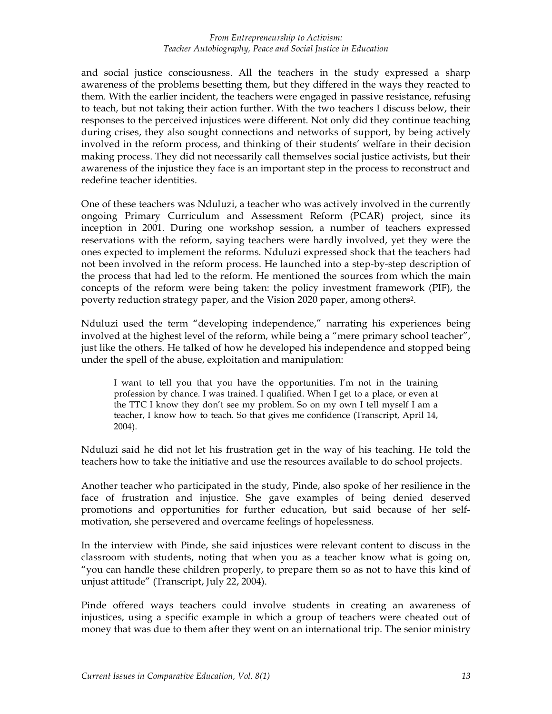and social justice consciousness. All the teachers in the study expressed a sharp awareness of the problems besetting them, but they differed in the ways they reacted to them. With the earlier incident, the teachers were engaged in passive resistance, refusing to teach, but not taking their action further. With the two teachers I discuss below, their responses to the perceived injustices were different. Not only did they continue teaching during crises, they also sought connections and networks of support, by being actively involved in the reform process, and thinking of their students' welfare in their decision making process. They did not necessarily call themselves social justice activists, but their awareness of the injustice they face is an important step in the process to reconstruct and redefine teacher identities.

One of these teachers was Nduluzi, a teacher who was actively involved in the currently ongoing Primary Curriculum and Assessment Reform (PCAR) project, since its inception in 2001. During one workshop session, a number of teachers expressed reservations with the reform, saying teachers were hardly involved, yet they were the ones expected to implement the reforms. Nduluzi expressed shock that the teachers had not been involved in the reform process. He launched into a step-by-step description of the process that had led to the reform. He mentioned the sources from which the main concepts of the reform were being taken: the policy investment framework (PIF), the poverty reduction strategy paper, and the Vision 2020 paper, among others2.

Nduluzi used the term "developing independence," narrating his experiences being involved at the highest level of the reform, while being a "mere primary school teacher", just like the others. He talked of how he developed his independence and stopped being under the spell of the abuse, exploitation and manipulation:

I want to tell you that you have the opportunities. I'm not in the training profession by chance. I was trained. I qualified. When I get to a place, or even at the TTC I know they don't see my problem. So on my own I tell myself I am a teacher, I know how to teach. So that gives me confidence (Transcript, April 14, 2004).

Nduluzi said he did not let his frustration get in the way of his teaching. He told the teachers how to take the initiative and use the resources available to do school projects.

Another teacher who participated in the study, Pinde, also spoke of her resilience in the face of frustration and injustice. She gave examples of being denied deserved promotions and opportunities for further education, but said because of her selfmotivation, she persevered and overcame feelings of hopelessness.

In the interview with Pinde, she said injustices were relevant content to discuss in the classroom with students, noting that when you as a teacher know what is going on, "you can handle these children properly, to prepare them so as not to have this kind of unjust attitude" (Transcript, July 22, 2004).

Pinde offered ways teachers could involve students in creating an awareness of injustices, using a specific example in which a group of teachers were cheated out of money that was due to them after they went on an international trip. The senior ministry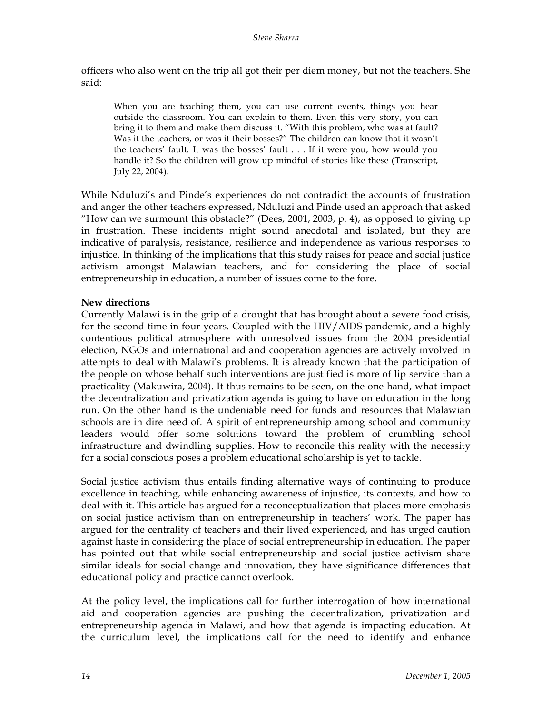officers who also went on the trip all got their per diem money, but not the teachers. She said:

When you are teaching them, you can use current events, things you hear outside the classroom. You can explain to them. Even this very story, you can bring it to them and make them discuss it. "With this problem, who was at fault? Was it the teachers, or was it their bosses?" The children can know that it wasn't the teachers' fault. It was the bosses' fault . . . If it were you, how would you handle it? So the children will grow up mindful of stories like these (Transcript, July 22, 2004).

While Nduluzi's and Pinde's experiences do not contradict the accounts of frustration and anger the other teachers expressed, Nduluzi and Pinde used an approach that asked "How can we surmount this obstacle?" (Dees, 2001, 2003, p. 4), as opposed to giving up in frustration. These incidents might sound anecdotal and isolated, but they are indicative of paralysis, resistance, resilience and independence as various responses to injustice. In thinking of the implications that this study raises for peace and social justice activism amongst Malawian teachers, and for considering the place of social entrepreneurship in education, a number of issues come to the fore.

# **New directions**

Currently Malawi is in the grip of a drought that has brought about a severe food crisis, for the second time in four years. Coupled with the HIV/AIDS pandemic, and a highly contentious political atmosphere with unresolved issues from the 2004 presidential election, NGOs and international aid and cooperation agencies are actively involved in attempts to deal with Malawi's problems. It is already known that the participation of the people on whose behalf such interventions are justified is more of lip service than a practicality (Makuwira, 2004). It thus remains to be seen, on the one hand, what impact the decentralization and privatization agenda is going to have on education in the long run. On the other hand is the undeniable need for funds and resources that Malawian schools are in dire need of. A spirit of entrepreneurship among school and community leaders would offer some solutions toward the problem of crumbling school infrastructure and dwindling supplies. How to reconcile this reality with the necessity for a social conscious poses a problem educational scholarship is yet to tackle.

Social justice activism thus entails finding alternative ways of continuing to produce excellence in teaching, while enhancing awareness of injustice, its contexts, and how to deal with it. This article has argued for a reconceptualization that places more emphasis on social justice activism than on entrepreneurship in teachers' work. The paper has argued for the centrality of teachers and their lived experienced, and has urged caution against haste in considering the place of social entrepreneurship in education. The paper has pointed out that while social entrepreneurship and social justice activism share similar ideals for social change and innovation, they have significance differences that educational policy and practice cannot overlook.

At the policy level, the implications call for further interrogation of how international aid and cooperation agencies are pushing the decentralization, privatization and entrepreneurship agenda in Malawi, and how that agenda is impacting education. At the curriculum level, the implications call for the need to identify and enhance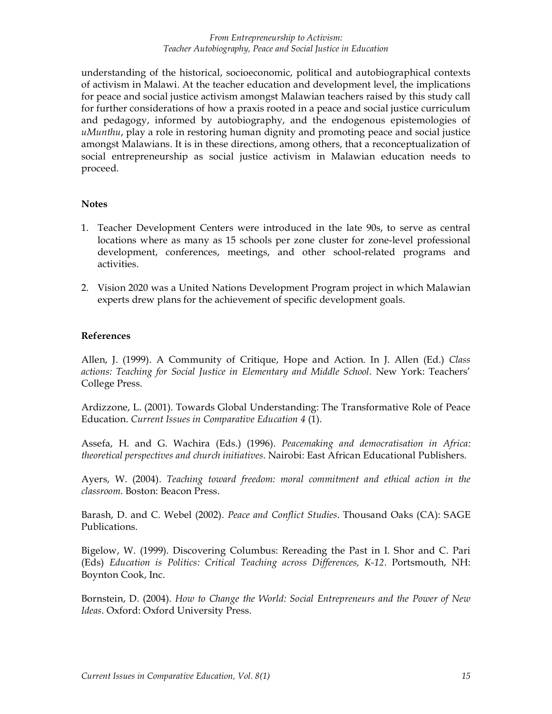understanding of the historical, socioeconomic, political and autobiographical contexts of activism in Malawi. At the teacher education and development level, the implications for peace and social justice activism amongst Malawian teachers raised by this study call for further considerations of how a praxis rooted in a peace and social justice curriculum and pedagogy, informed by autobiography, and the endogenous epistemologies of *uMunthu*, play a role in restoring human dignity and promoting peace and social justice amongst Malawians. It is in these directions, among others, that a reconceptualization of social entrepreneurship as social justice activism in Malawian education needs to proceed.

#### **Notes**

- 1. Teacher Development Centers were introduced in the late 90s, to serve as central locations where as many as 15 schools per zone cluster for zone-level professional development, conferences, meetings, and other school-related programs and activities.
- 2. Vision 2020 was a United Nations Development Program project in which Malawian experts drew plans for the achievement of specific development goals.

#### **References**

Allen, J. (1999). A Community of Critique, Hope and Action. In J. Allen (Ed.) *Class actions: Teaching for Social Justice in Elementary and Middle School.* New York: Teachers' College Press.

Ardizzone, L. (2001). Towards Global Understanding: The Transformative Role of Peace Education. *Current Issues in Comparative Education 4* (1).

Assefa, H. and G. Wachira (Eds.) (1996). *Peacemaking and democratisation in Africa: theoretical perspectives and church initiatives*. Nairobi: East African Educational Publishers.

Ayers, W. (2004). *Teaching toward freedom: moral commitment and ethical action in the classroom*. Boston: Beacon Press.

Barash, D. and C. Webel (2002). *Peace and Conflict Studies*. Thousand Oaks (CA): SAGE Publications.

Bigelow, W. (1999). Discovering Columbus: Rereading the Past in I. Shor and C. Pari (Eds) *Education is Politics: Critical Teaching across Differences, K-12*. Portsmouth, NH: Boynton Cook, Inc.

Bornstein, D. (2004). *How to Change the World: Social Entrepreneurs and the Power of New Ideas*. Oxford: Oxford University Press.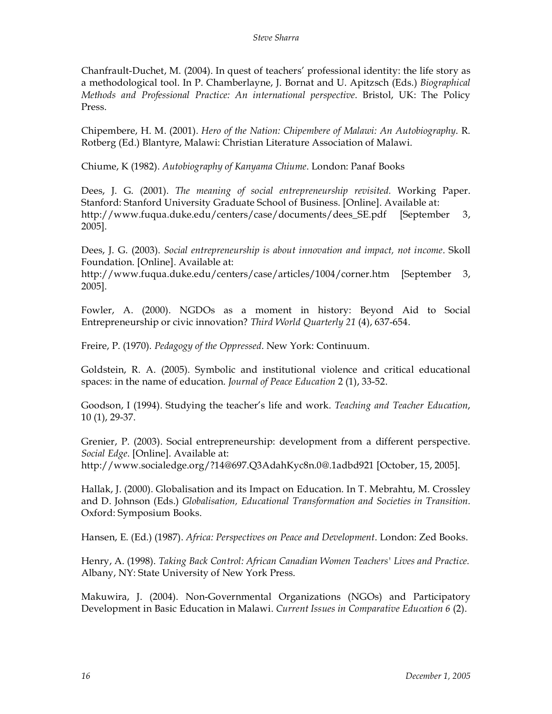Chanfrault-Duchet, M. (2004). In quest of teachers' professional identity: the life story as a methodological tool. In P. Chamberlayne, J. Bornat and U. Apitzsch (Eds.) *Biographical Methods and Professional Practice: An international perspective*. Bristol, UK: The Policy Press.

Chipembere, H. M. (2001). *Hero of the Nation: Chipembere of Malawi: An Autobiography*. R. Rotberg (Ed.) Blantyre, Malawi: Christian Literature Association of Malawi.

Chiume, K (1982). *Autobiography of Kanyama Chiume*. London: Panaf Books

Dees, J. G. (2001). *The meaning of social entrepreneurship revisited.* Working Paper. Stanford: Stanford University Graduate School of Business. [Online]. Available at: http://www.fuqua.duke.edu/centers/case/documents/dees\_SE.pdf [September 3, 2005].

Dees, J. G. (2003). *Social entrepreneurship is about innovation and impact, not income*. Skoll Foundation. [Online]. Available at:

http://www.fuqua.duke.edu/centers/case/articles/1004/corner.htm [September 3, 2005].

Fowler, A. (2000). NGDOs as a moment in history: Beyond Aid to Social Entrepreneurship or civic innovation? *Third World Quarterly 21* (4), 637-654.

Freire, P. (1970). *Pedagogy of the Oppressed*. New York: Continuum.

Goldstein, R. A. (2005). Symbolic and institutional violence and critical educational spaces: in the name of education. *Journal of Peace Education* 2 (1), 33-52.

Goodson, I (1994). Studying the teacher's life and work. *Teaching and Teacher Education*, 10 (1), 29-37.

Grenier, P. (2003). Social entrepreneurship: development from a different perspective. *Social Edge*. [Online]. Available at: http://www.socialedge.org/?14@697.Q3AdahKyc8n.0@.1adbd921 [October, 15, 2005].

Hallak, J. (2000). Globalisation and its Impact on Education. In T. Mebrahtu, M. Crossley and D. Johnson (Eds.) *Globalisation, Educational Transformation and Societies in Transition.* Oxford: Symposium Books.

Hansen, E. (Ed.) (1987). *Africa: Perspectives on Peace and Development*. London: Zed Books.

Henry, A. (1998). *Taking Back Control: African Canadian Women Teachers' Lives and Practice.* Albany, NY: State University of New York Press.

Makuwira, J. (2004). Non-Governmental Organizations (NGOs) and Participatory Development in Basic Education in Malawi. *Current Issues in Comparative Education 6* (2).